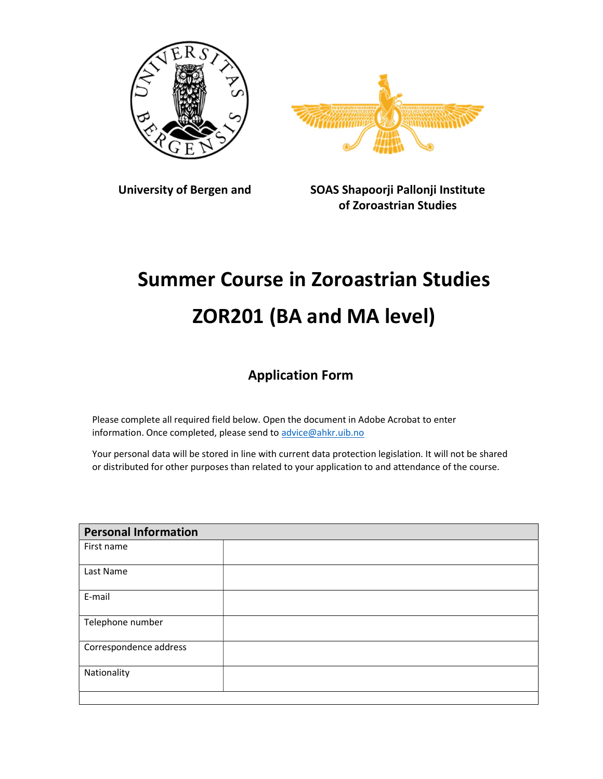



University of Bergen and SOAS Shapoorji Pallonji Institute of Zoroastrian Studies

## Summer Course in Zoroastrian Studies ZOR201 (BA and MA level)

## Application Form

Please complete all required field below. Open the document in Adobe Acrobat to enter information. Once completed, please send to advice@ahkr.uib.no

Your personal data will be stored in line with current data protection legislation. It will not be shared or distributed for other purposes than related to your application to and attendance of the course.

| <b>Personal Information</b> |  |  |
|-----------------------------|--|--|
| First name                  |  |  |
| Last Name                   |  |  |
| E-mail                      |  |  |
| Telephone number            |  |  |
| Correspondence address      |  |  |
| Nationality                 |  |  |
|                             |  |  |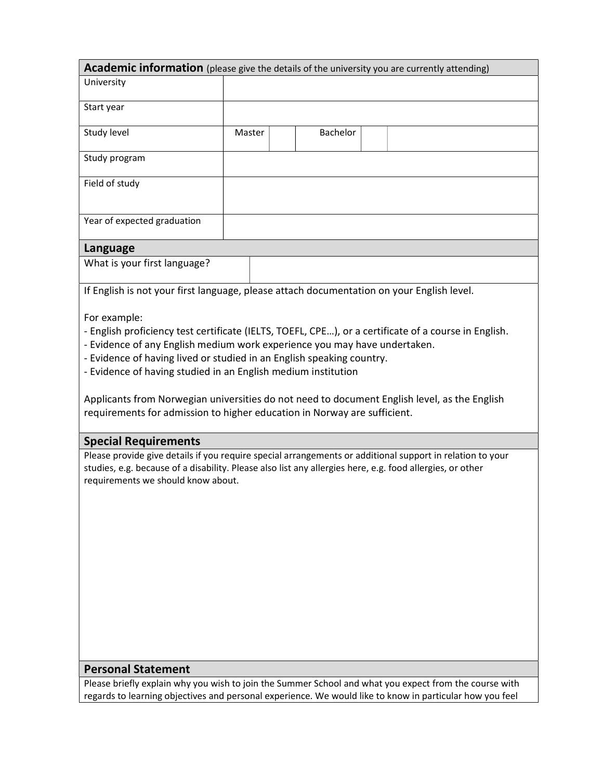| Academic information (please give the details of the university you are currently attending)              |        |                 |  |  |  |
|-----------------------------------------------------------------------------------------------------------|--------|-----------------|--|--|--|
| University                                                                                                |        |                 |  |  |  |
|                                                                                                           |        |                 |  |  |  |
| Start year                                                                                                |        |                 |  |  |  |
| Study level                                                                                               | Master | <b>Bachelor</b> |  |  |  |
| Study program                                                                                             |        |                 |  |  |  |
| Field of study                                                                                            |        |                 |  |  |  |
| Year of expected graduation                                                                               |        |                 |  |  |  |
|                                                                                                           |        |                 |  |  |  |
| Language                                                                                                  |        |                 |  |  |  |
| What is your first language?                                                                              |        |                 |  |  |  |
| If English is not your first language, please attach documentation on your English level.                 |        |                 |  |  |  |
| For example:                                                                                              |        |                 |  |  |  |
| - English proficiency test certificate (IELTS, TOEFL, CPE), or a certificate of a course in English.      |        |                 |  |  |  |
| - Evidence of any English medium work experience you may have undertaken.                                 |        |                 |  |  |  |
| - Evidence of having lived or studied in an English speaking country.                                     |        |                 |  |  |  |
| - Evidence of having studied in an English medium institution                                             |        |                 |  |  |  |
| Applicants from Norwegian universities do not need to document English level, as the English              |        |                 |  |  |  |
| requirements for admission to higher education in Norway are sufficient.                                  |        |                 |  |  |  |
|                                                                                                           |        |                 |  |  |  |
| <b>Special Requirements</b>                                                                               |        |                 |  |  |  |
| Please provide give details if you require special arrangements or additional support in relation to your |        |                 |  |  |  |
| studies, e.g. because of a disability. Please also list any allergies here, e.g. food allergies, or other |        |                 |  |  |  |
| requirements we should know about.                                                                        |        |                 |  |  |  |

## Personal Statement

Please briefly explain why you wish to join the Summer School and what you expect from the course with regards to learning objectives and personal experience. We would like to know in particular how you feel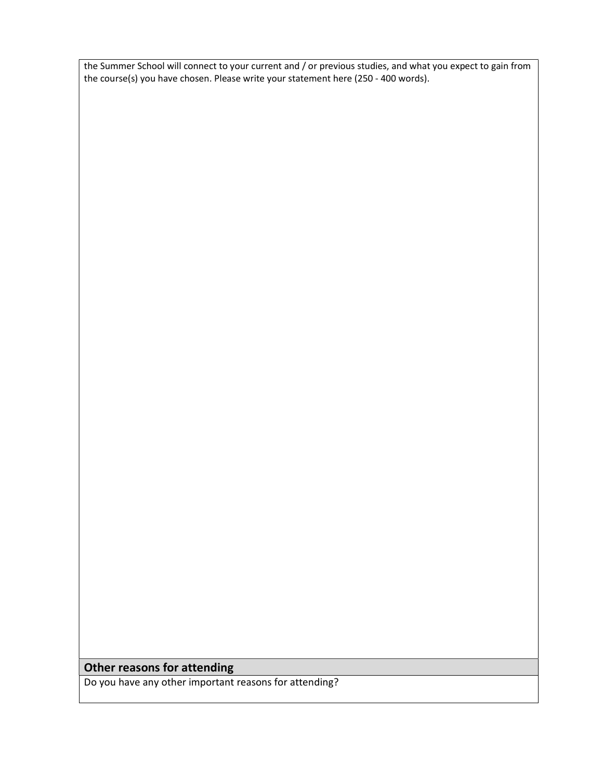the Summer School will connect to your current and / or previous studies, and what you expect to gain from the course(s) you have chosen. Please write your statement here (250 - 400 words).

## Other reasons for attending

Do you have any other important reasons for attending?